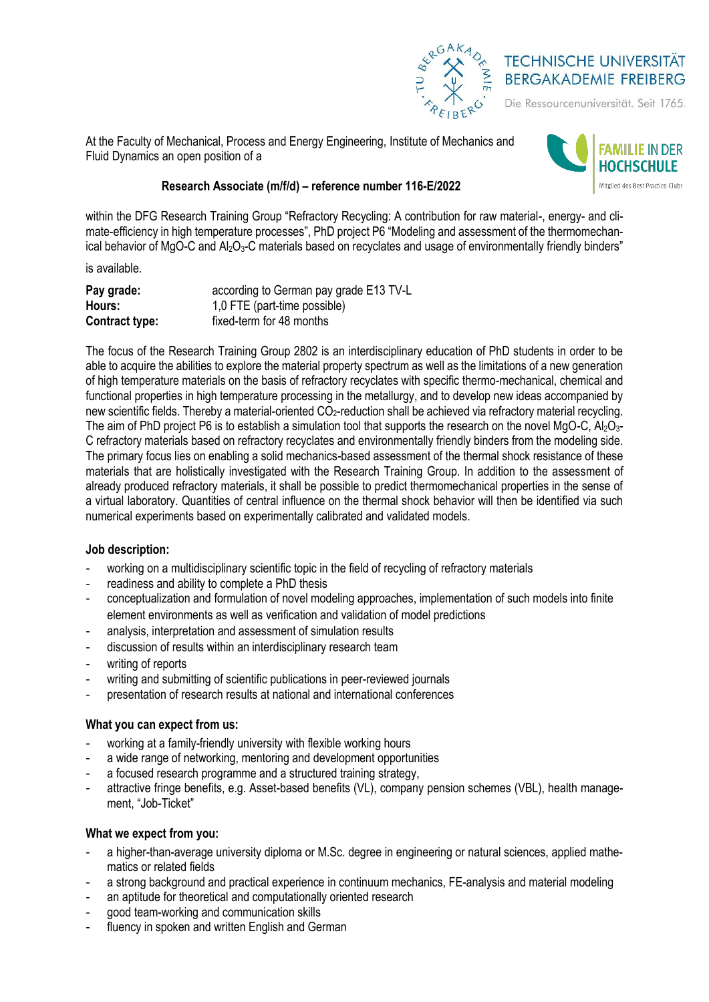

# **TECHNISCHE UNIVERSITÄT BERGAKADEMIE FREIBERG**

Die Ressourcenuniversität. Seit 1765.

At the Faculty of Mechanical, Process and Energy Engineering, Institute of Mechanics and Fluid Dynamics an open position of a



## **Research Associate (m/f/d) – reference number 116-E/2022**

within the DFG Research Training Group "Refractory Recycling: A contribution for raw material-, energy- and climate-efficiency in high temperature processes", PhD project P6 "Modeling and assessment of the thermomechanical behavior of MgO-C and Al<sub>2</sub>O<sub>3</sub>-C materials based on recyclates and usage of environmentally friendly binders"

is available.

| Pay grade:     | according to German pay grade E13 TV-L |
|----------------|----------------------------------------|
| Hours:         | 1,0 FTE (part-time possible)           |
| Contract type: | fixed-term for 48 months               |

The focus of the Research Training Group 2802 is an interdisciplinary education of PhD students in order to be able to acquire the abilities to explore the material property spectrum as well as the limitations of a new generation of high temperature materials on the basis of refractory recyclates with specific thermo-mechanical, chemical and functional properties in high temperature processing in the metallurgy, and to develop new ideas accompanied by new scientific fields. Thereby a material-oriented CO<sub>2</sub>-reduction shall be achieved via refractory material recycling. The aim of PhD project P6 is to establish a simulation tool that supports the research on the novel MgO-C,  $Al_2O_3$ -C refractory materials based on refractory recyclates and environmentally friendly binders from the modeling side. The primary focus lies on enabling a solid mechanics-based assessment of the thermal shock resistance of these materials that are holistically investigated with the Research Training Group. In addition to the assessment of already produced refractory materials, it shall be possible to predict thermomechanical properties in the sense of a virtual laboratory. Quantities of central influence on the thermal shock behavior will then be identified via such numerical experiments based on experimentally calibrated and validated models.

## **Job description:**

- working on a multidisciplinary scientific topic in the field of recycling of refractory materials
- readiness and ability to complete a PhD thesis
- conceptualization and formulation of novel modeling approaches, implementation of such models into finite element environments as well as verification and validation of model predictions
- analysis, interpretation and assessment of simulation results
- discussion of results within an interdisciplinary research team
- writing of reports
- writing and submitting of scientific publications in peer-reviewed journals
- presentation of research results at national and international conferences

## **What you can expect from us:**

- working at a family-friendly university with flexible working hours
- a wide range of networking, mentoring and development opportunities
- a focused research programme and a structured training strategy,
- attractive fringe benefits, e.g. Asset-based benefits (VL), company pension schemes (VBL), health management, "Job-Ticket"

#### **What we expect from you:**

- a higher-than-average university diploma or M.Sc. degree in engineering or natural sciences, applied mathematics or related fields
- a strong background and practical experience in continuum mechanics, FE-analysis and material modeling
- an aptitude for theoretical and computationally oriented research
- aood team-working and communication skills
- fluency in spoken and written English and German